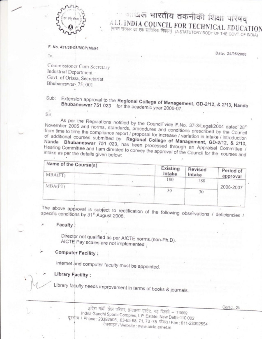

# ा जल भारतीय तकनीकी शिक्षा परिषद् ALL INDIA COUNCIL FOR TECHNICAL EDUCATION (भारत सरकार का एक सांविधिक निकाय) (A STATUTORY BODY OF THE GOVT. OF INDIA)

F. No. 431/36-08/MCP(M)/94

To.

Date: 24/05/2006

Commissioner Cum Secretary Industrial Department Govt. of Orissa, Secretariat Bhubaneswar- 751001

Sub: Extension approval to the Regional College of Management, GD-2/12, & 2/13, Nanda Bhubaneswar 751 023 for the academic year 2006-07.

Sir.

As per the Regulations notified by the Council vide F.No. 37-3/Legal/2004 dated 28<sup>th</sup> November 2005 and norms, standards, procedures and conditions prescribed by the Council from time to time the compliance report / proposal for increase / variation in intake / introduction of additional courses submitted by Regional College of Management, GD-2/12, & 2/13, Nanda Bhubaneswar 751 023, has been processed through an Appraisal Committee / Hearing Committee and I am directed to convey the approval of the Council for the courses and

| Name of the Course(s)<br>MBA(FT) |  | Existing<br>Intake | Revised<br>Intake | Period of |
|----------------------------------|--|--------------------|-------------------|-----------|
|                                  |  | 180                | 180               | approval  |
| MBA(PT)                          |  |                    |                   | 2006-2007 |
|                                  |  | 30                 | 30                |           |

The above approval is subject to rectification of the following observations / deficiencies / specific conditions by 31<sup>st</sup> August 2006.

### Faculty:

Director not qualified as per AICTE norms.(non-Ph.D). AICTE Pay scales are not implemented,

## **Computer Facility:**

Internet and computer faculty must be appointed.

## Library Facility:

Library faculty needs improvement in terms of books & journals.

इंदिरा गांधी खेल परिसर, इन्द्रप्रस्थ एस्टेट, नई दिल्ली – 110002 Indira Gandhi Sports Complex, I. P. Estate, New Delhi-110 002 दूरभाष / Phone : 23392506, 63-65-68, 71, 73-75 फेक्स / Fax : 011-23392554 वैबसाइट / Website : www.aicte.ernet.in

Contd., 2/-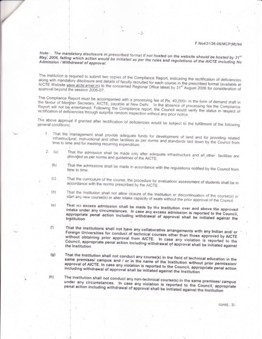#### F.No431/36-08/MCP(M)/94

Note: . The mandatory disclosure in prescribed format if not hosted on the website should be hosted by 31st May, 2006, failing which action would be initiated as per the rules and regulations of the AICTE including No Admission / Withdrawal of approval.

 $-2-$ 

The institution is required to submit two copies of the Compliance Report, indicating the rectification of deficiencies along with mandatory disclosure and details of faculty recruited for each course in the prescribed format (available at AICTE Website www.aicte.ernet.in) to the concerned Regional Office latest by 31<sup>st</sup> August 2006 for consideration of approval beyond the session 2006-07.

The Compliance Report must be accompanied with a processing fee of Rs. 40,000/- in the form of demand draft in the favour of Member Secretary, AICTE, payable at New Delhi. In the absence of processing fee the Compliance Report will not be entertained. Following the Compliance report, the Council would verify the status in respect of rectification of deficiencies through surprise random inspection without any prior notice.

The above approval if granted after rectification 'of deficiencies would be subject to the fulfillment of the following

- That the management shall provide adequate funds for development of land and for providing related 1 infrastructural, instructional and other facilities as per norms and standards laid down by the Council from time to time and for meeting recurring expenditure.
- That the admission shall be made only after adequate infrastructure and all other facilities are  $2. (a)$ provided as per norms and guidelines of the AICTE.
	- That the admissions shall be made in accordance with the regulations notified by the Council from  $(b)$ time to time.
	- That the curriculum of the course, the procedure for evaluation/ assessment of students shall be in  $(c)$ accordance with the norms prescribed by the AICTE.
	- That the Institution shall not allow closure of the Institution or discontinuation of the course(s) or  $(d)$ start any new course(s) or alter intake capacity of seats without the prior approval of the Council.
	- That no excess admission shall be made by the Institution over and above the approved  $(e)$ intake under any circumstances. In case any excess admission is reported to the Council, appropriate penal action including withdrawal of approval shall be initiated against the Institution
	- That the institutions shall not have any collaborative arrangements with any Indian and/ or  $(f)$ Foreign Universities for conduct of technical courses other than those approved by AICTE without obtaining prior approval from AICTE. In case any violation is reported to the Council, appropriate penal action including withdrawal of approval shall be initiated against the Institution
	- That the Institution shall not conduct any course(s) in the field of technical education in the  $(g)$ same premises/ campus and / or in the name of the Institution without prior permission/ approval of AICTE. In case any violation is reported to the Council, appropriate penal action including withdrawal of approval shall be initiated against the Institution
	- $(h)$
- The institution shall not conduct any non-technical course(s) in the same premises/ campus under any circumstances. In case any violation is reported to the Council, appropriate penal action including withdrawal of approval shall be initiated against the Institution